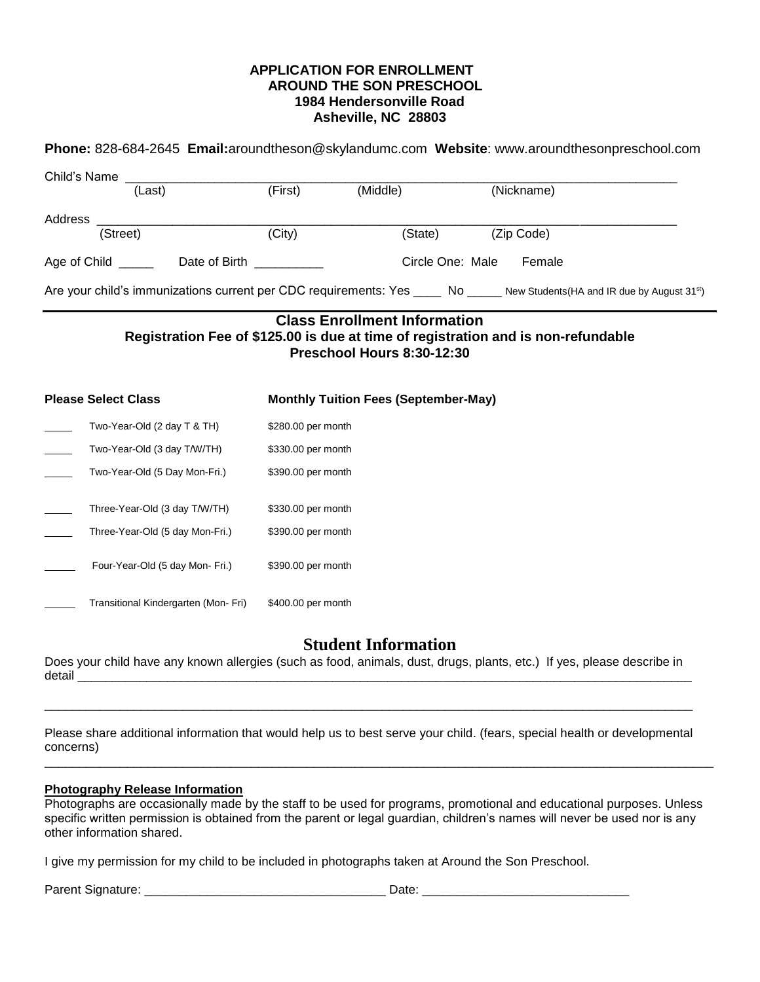## **APPLICATION FOR ENROLLMENT AROUND THE SON PRESCHOOL 1984 Hendersonville Road Asheville, NC 28803**

| Phone: 828-684-2645 Email:aroundtheson@skylandumc.com Website: www.aroundthesonpreschool.com                                                           |                    |                                             |            |  |  |  |  |
|--------------------------------------------------------------------------------------------------------------------------------------------------------|--------------------|---------------------------------------------|------------|--|--|--|--|
| Child's Name                                                                                                                                           |                    |                                             |            |  |  |  |  |
| (Last)                                                                                                                                                 | (First)            | (Middle)                                    | (Nickname) |  |  |  |  |
| Address                                                                                                                                                |                    |                                             |            |  |  |  |  |
| (Street)                                                                                                                                               | (City)             | (State)                                     | (Zip Code) |  |  |  |  |
| Age of Child _______ Date of Birth __________                                                                                                          |                    | Circle One: Male                            | Female     |  |  |  |  |
| Are your child's immunizations current per CDC requirements: Yes ____ No ____ New Students(HA and IR due by August 31st)                               |                    |                                             |            |  |  |  |  |
| <b>Class Enrollment Information</b><br>Registration Fee of \$125.00 is due at time of registration and is non-refundable<br>Preschool Hours 8:30-12:30 |                    |                                             |            |  |  |  |  |
| <b>Please Select Class</b>                                                                                                                             |                    | <b>Monthly Tuition Fees (September-May)</b> |            |  |  |  |  |
| Two-Year-Old (2 day T & TH)                                                                                                                            | \$280.00 per month |                                             |            |  |  |  |  |
| Two-Year-Old (3 day T/W/TH)                                                                                                                            | \$330.00 per month |                                             |            |  |  |  |  |
| Two-Year-Old (5 Day Mon-Fri.)                                                                                                                          | \$390.00 per month |                                             |            |  |  |  |  |
| Three-Year-Old (3 day T/W/TH)                                                                                                                          | \$330.00 per month |                                             |            |  |  |  |  |
| Three-Year-Old (5 day Mon-Fri.)                                                                                                                        | \$390.00 per month |                                             |            |  |  |  |  |
| Four-Year-Old (5 day Mon- Fri.)                                                                                                                        | \$390.00 per month |                                             |            |  |  |  |  |
| Transitional Kindergarten (Mon-Fri)                                                                                                                    | \$400.00 per month |                                             |            |  |  |  |  |

## **Student Information**

Does your child have any known allergies (such as food, animals, dust, drugs, plants, etc.) If yes, please describe in detail \_\_\_\_\_\_\_\_\_\_\_\_\_\_\_\_\_\_\_\_\_\_\_\_\_\_\_\_\_\_\_\_\_\_\_\_\_\_\_\_\_\_\_\_\_\_\_\_\_\_\_\_\_\_\_\_\_\_\_\_\_\_\_\_\_\_\_\_\_\_\_\_\_\_\_\_\_\_\_\_\_\_\_\_\_\_\_\_\_

Please share additional information that would help us to best serve your child. (fears, special health or developmental concerns)

\_\_\_\_\_\_\_\_\_\_\_\_\_\_\_\_\_\_\_\_\_\_\_\_\_\_\_\_\_\_\_\_\_\_\_\_\_\_\_\_\_\_\_\_\_\_\_\_\_\_\_\_\_\_\_\_\_\_\_\_\_\_\_\_\_\_\_\_\_\_\_\_\_\_\_\_\_\_\_\_\_\_\_\_\_\_\_\_\_\_\_\_\_\_\_\_\_

\_\_\_\_\_\_\_\_\_\_\_\_\_\_\_\_\_\_\_\_\_\_\_\_\_\_\_\_\_\_\_\_\_\_\_\_\_\_\_\_\_\_\_\_\_\_\_\_\_\_\_\_\_\_\_\_\_\_\_\_\_\_\_\_\_\_\_\_\_\_\_\_\_\_\_\_\_\_\_\_\_\_\_\_\_\_\_\_\_\_\_\_\_\_

## **Photography Release Information**

Photographs are occasionally made by the staff to be used for programs, promotional and educational purposes. Unless specific written permission is obtained from the parent or legal guardian, children's names will never be used nor is any other information shared.

I give my permission for my child to be included in photographs taken at Around the Son Preschool.

Parent Signature: \_\_\_\_\_\_\_\_\_\_\_\_\_\_\_\_\_\_\_\_\_\_\_\_\_\_\_\_\_\_\_\_\_\_\_ Date: \_\_\_\_\_\_\_\_\_\_\_\_\_\_\_\_\_\_\_\_\_\_\_\_\_\_\_\_\_\_